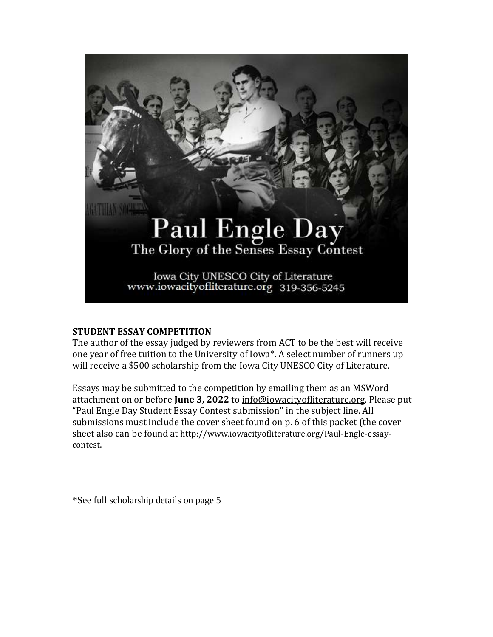

#### **STUDENT ESSAY COMPETITION**

The author of the essay judged by reviewers from ACT to be the best will receive one year of free tuition to the University of Iowa\*. A select number of runners up will receive a \$500 scholarship from the Iowa City UNESCO City of Literature.

Essays may be submitted to the competition by emailing them as an MSWord attachment on or before **June 3, 2022** to [info@iowacityofliterature.org.](mailto:info@iowacityofliterature.org) Please put "Paul Engle Day Student Essay Contest submission" in the subject line. All submissions must include the cover sheet found on p. 6 of this packet (the cover sheet also can be found at http://www.iowacityofliterature.org/Paul-Engle-essaycontest.

\*See full scholarship details on page 5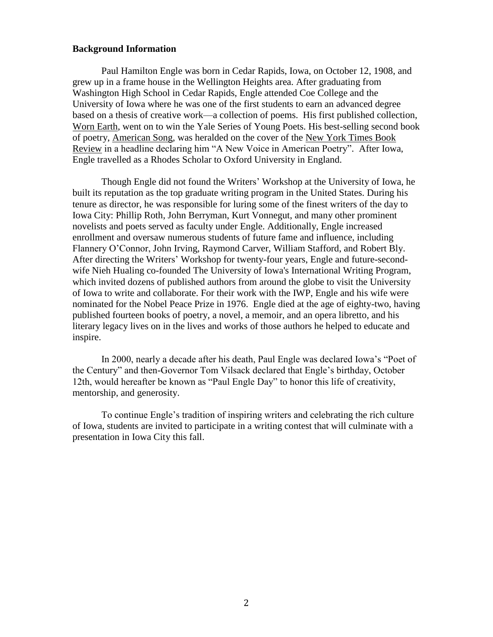#### **Background Information**

Paul Hamilton Engle was born in Cedar Rapids, Iowa, on October 12, 1908, and grew up in a frame house in the Wellington Heights area. After graduating from Washington High School in Cedar Rapids, Engle attended Coe College and the University of Iowa where he was one of the first students to earn an advanced degree based on a thesis of creative work—a collection of poems. His first published collection, Worn Earth, went on to win the Yale Series of Young Poets. His best-selling second book of poetry, American Song, was heralded on the cover of the New York Times Book Review in a headline declaring him "A New Voice in American Poetry". After Iowa, Engle travelled as a Rhodes Scholar to Oxford University in England.

Though Engle did not found the Writers' Workshop at the University of Iowa, he built its reputation as the top graduate writing program in the United States. During his tenure as director, he was responsible for luring some of the finest writers of the day to Iowa City: Phillip Roth, John Berryman, Kurt Vonnegut, and many other prominent novelists and poets served as faculty under Engle. Additionally, Engle increased enrollment and oversaw numerous students of future fame and influence, including Flannery O'Connor, John Irving, Raymond Carver, William Stafford, and Robert Bly. After directing the Writers' Workshop for twenty-four years, Engle and future-secondwife Nieh Hualing co-founded The University of Iowa's International Writing Program, which invited dozens of published authors from around the globe to visit the University of Iowa to write and collaborate. For their work with the IWP, Engle and his wife were nominated for the Nobel Peace Prize in 1976. Engle died at the age of eighty-two, having published fourteen books of poetry, a novel, a memoir, and an opera libretto, and his literary legacy lives on in the lives and works of those authors he helped to educate and inspire.

In 2000, nearly a decade after his death, Paul Engle was declared Iowa's "Poet of the Century" and then-Governor Tom Vilsack declared that Engle's birthday, October 12th, would hereafter be known as "Paul Engle Day" to honor this life of creativity, mentorship, and generosity.

To continue Engle's tradition of inspiring writers and celebrating the rich culture of Iowa, students are invited to participate in a writing contest that will culminate with a presentation in Iowa City this fall.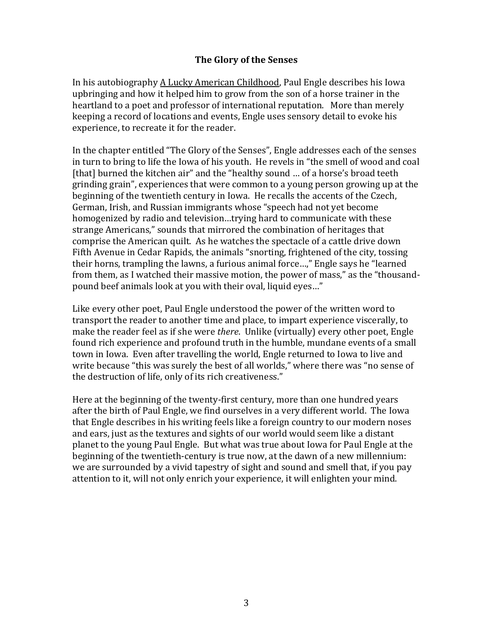#### **The Glory of the Senses**

In his autobiography A Lucky American Childhood, Paul Engle describes his Iowa upbringing and how it helped him to grow from the son of a horse trainer in the heartland to a poet and professor of international reputation. More than merely keeping a record of locations and events, Engle uses sensory detail to evoke his experience, to recreate it for the reader.

In the chapter entitled "The Glory of the Senses", Engle addresses each of the senses in turn to bring to life the Iowa of his youth. He revels in "the smell of wood and coal [that] burned the kitchen air" and the "healthy sound ... of a horse's broad teeth grinding grain", experiences that were common to a young person growing up at the beginning of the twentieth century in Iowa. He recalls the accents of the Czech, German, Irish, and Russian immigrants whose "speech had not yet become homogenized by radio and television…trying hard to communicate with these strange Americans," sounds that mirrored the combination of heritages that comprise the American quilt. As he watches the spectacle of a cattle drive down Fifth Avenue in Cedar Rapids, the animals "snorting, frightened of the city, tossing their horns, trampling the lawns, a furious animal force…," Engle says he "learned from them, as I watched their massive motion, the power of mass," as the "thousandpound beef animals look at you with their oval, liquid eyes…"

Like every other poet, Paul Engle understood the power of the written word to transport the reader to another time and place, to impart experience viscerally, to make the reader feel as if she were *there*. Unlike (virtually) every other poet, Engle found rich experience and profound truth in the humble, mundane events of a small town in Iowa. Even after travelling the world, Engle returned to Iowa to live and write because "this was surely the best of all worlds," where there was "no sense of the destruction of life, only of its rich creativeness."

Here at the beginning of the twenty-first century, more than one hundred years after the birth of Paul Engle, we find ourselves in a very different world. The Iowa that Engle describes in his writing feels like a foreign country to our modern noses and ears, just as the textures and sights of our world would seem like a distant planet to the young Paul Engle. But what was true about Iowa for Paul Engle at the beginning of the twentieth-century is true now, at the dawn of a new millennium: we are surrounded by a vivid tapestry of sight and sound and smell that, if you pay attention to it, will not only enrich your experience, it will enlighten your mind.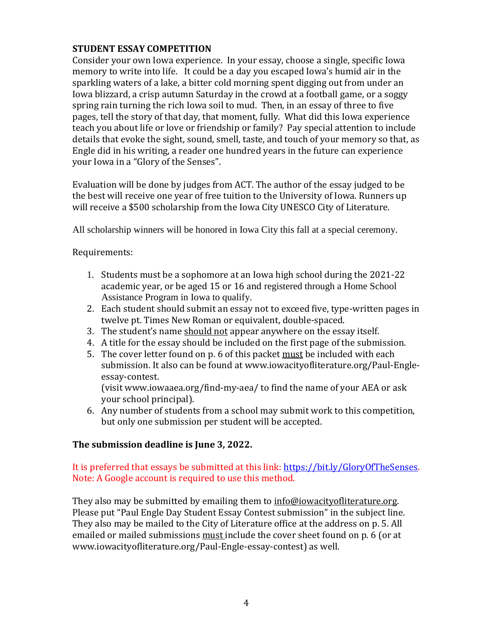# **STUDENT ESSAY COMPETITION**

Consider your own Iowa experience. In your essay, choose a single, specific Iowa memory to write into life. It could be a day you escaped Iowa's humid air in the sparkling waters of a lake, a bitter cold morning spent digging out from under an Iowa blizzard, a crisp autumn Saturday in the crowd at a football game, or a soggy spring rain turning the rich Iowa soil to mud. Then, in an essay of three to five pages, tell the story of that day, that moment, fully. What did this Iowa experience teach you about life or love or friendship or family? Pay special attention to include details that evoke the sight, sound, smell, taste, and touch of your memory so that, as Engle did in his writing, a reader one hundred years in the future can experience your Iowa in a "Glory of the Senses".

Evaluation will be done by judges from ACT. The author of the essay judged to be the best will receive one year of free tuition to the University of Iowa. Runners up will receive a \$500 scholarship from the Iowa City UNESCO City of Literature.

All scholarship winners will be honored in Iowa City this fall at a special ceremony.

Requirements:

- 1. Students must be a sophomore at an Iowa high school during the 2021-22 academic year, or be aged 15 or 16 and registered through a Home School Assistance Program in Iowa to qualify.
- 2. Each student should submit an essay not to exceed five, type-written pages in twelve pt. Times New Roman or equivalent, double-spaced.
- 3. The student's name should not appear anywhere on the essay itself.
- 4. A title for the essay should be included on the first page of the submission.
- 5. The cover letter found on p. 6 of this packet must be included with each submission. It also can be found at www.iowacityofliterature.org/Paul-Engleessay-contest.

(visit www.iowaaea.org/find-my-aea/ to find the name of your AEA or ask your school principal).

6. Any number of students from a school may submit work to this competition, but only one submission per student will be accepted.

# **The submission deadline is June 3, 2022.**

### It is preferred that essays be submitted at this link: https://bit.ly/GloryOfTheSenses. Note: A Google account is required to use this method.

They also may be submitted by emailing them to [info@iowacityofliterature.org.](mailto:info@iowacityofliterature.org) Please put "Paul Engle Day Student Essay Contest submission" in the subject line. They also may be mailed to the City of Literature office at the address on p. 5. All emailed or mailed submissions must include the cover sheet found on p. 6 (or at www.iowacityofliterature.org/Paul-Engle-essay-contest) as well.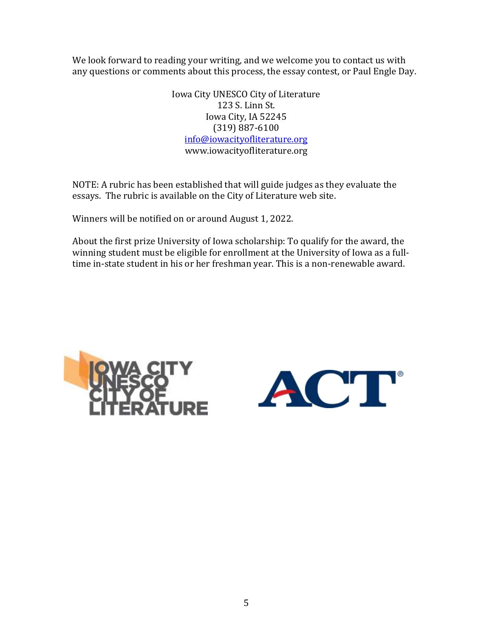We look forward to reading your writing, and we welcome you to contact us with any questions or comments about this process, the essay contest, or Paul Engle Day.

> Iowa City UNESCO City of Literature 123 S. Linn St. Iowa City, IA 52245 (319) 887-6100 [info@iowacityofliterature.org](mailto:info@iowacityofliterature.org) www.iowacityofliterature.org

NOTE: A rubric has been established that will guide judges as they evaluate the essays. The rubric is available on the City of Literature web site.

Winners will be notified on or around August 1, 2022.

About the first prize University of Iowa scholarship: To qualify for the award, the winning student must be eligible for enrollment at the University of Iowa as a fulltime in-state student in his or her freshman year. This is a non-renewable award.